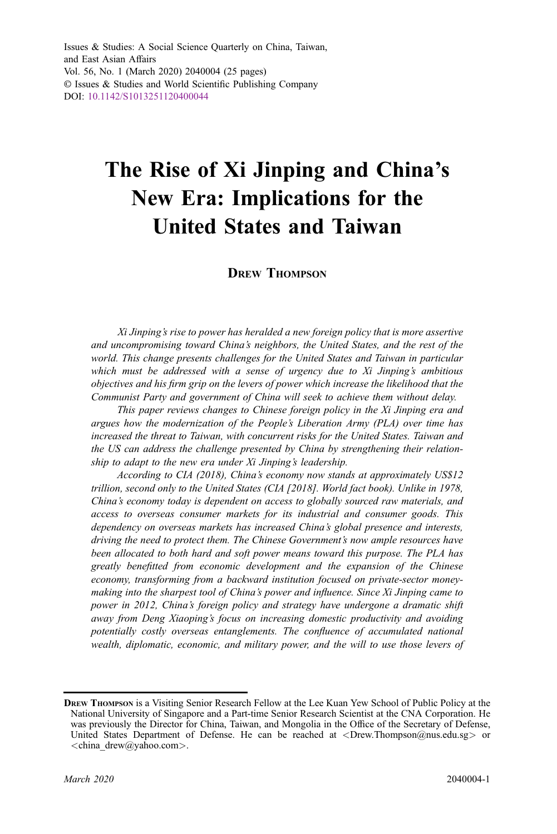Issues & Studies: A Social Science Quarterly on China, Taiwan, and East Asian Affairs Vol. 56, No. 1 (March 2020) 2040004 (25 pages) © Issues & Studies and World Scientific Publishing Company DOI: [10.1142/S1013251120400044](https://dx.doi.org/10.1142/S1013251120400044)

# The Rise of Xi Jinping and China's New Era: Implications for the United States and Taiwan

# **DREW THOMPSON**

Xi Jinping's rise to power has heralded a new foreign policy that is more assertive and uncompromising toward China's neighbors, the United States, and the rest of the world. This change presents challenges for the United States and Taiwan in particular which must be addressed with a sense of urgency due to Xi Jinping's ambitious objectives and his firm grip on the levers of power which increase the likelihood that the Communist Party and government of China will seek to achieve them without delay.

This paper reviews changes to Chinese foreign policy in the Xi Jinping era and argues how the modernization of the People's Liberation Army (PLA) over time has increased the threat to Taiwan, with concurrent risks for the United States. Taiwan and the US can address the challenge presented by China by strengthening their relationship to adapt to the new era under Xi Jinping's leadership.

According to CIA (2018), China's economy now stands at approximately US\$12 trillion, second only to the United States (CIA [2018]. World fact book). Unlike in 1978, China's economy today is dependent on access to globally sourced raw materials, and access to overseas consumer markets for its industrial and consumer goods. This dependency on overseas markets has increased China's global presence and interests, driving the need to protect them. The Chinese Government's now ample resources have been allocated to both hard and soft power means toward this purpose. The PLA has greatly benefitted from economic development and the expansion of the Chinese economy, transforming from a backward institution focused on private-sector moneymaking into the sharpest tool of China's power and influence. Since Xi Jinping came to power in 2012, China's foreign policy and strategy have undergone a dramatic shift away from Deng Xiaoping's focus on increasing domestic productivity and avoiding potentially costly overseas entanglements. The confluence of accumulated national wealth, diplomatic, economic, and military power, and the will to use those levers of

DREW THOMPSON is a Visiting Senior Research Fellow at the Lee Kuan Yew School of Public Policy at the National University of Singapore and a Part-time Senior Research Scientist at the CNA Corporation. He was previously the Director for China, Taiwan, and Mongolia in the Office of the Secretary of Defense, United States Department of Defense. He can be reached at <Drew.Thompson@nus.edu.sg> or <china\_drew@yahoo.com>.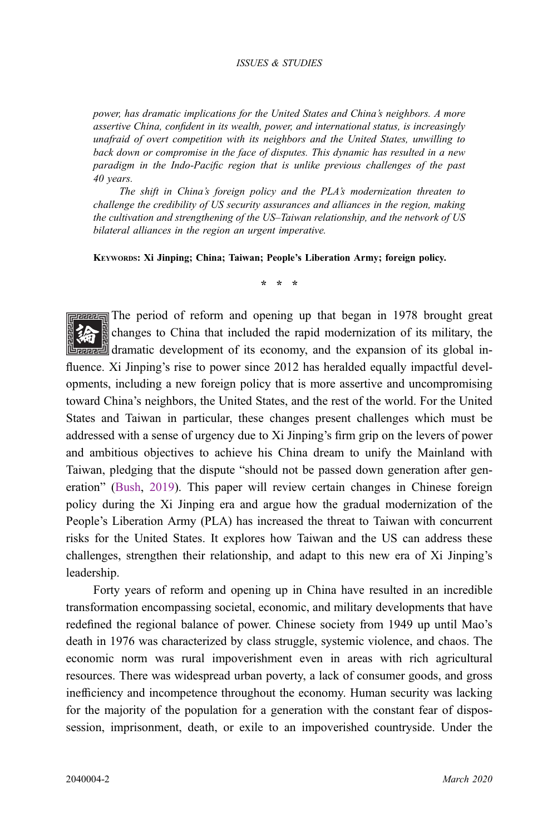power, has dramatic implications for the United States and China's neighbors. A more assertive China, confident in its wealth, power, and international status, is increasingly unafraid of overt competition with its neighbors and the United States, unwilling to back down or compromise in the face of disputes. This dynamic has resulted in a new paradigm in the Indo-Pacific region that is unlike previous challenges of the past 40 years.

The shift in China's foreign policy and the PLA's modernization threaten to challenge the credibility of US security assurances and alliances in the region, making the cultivation and strengthening of the US–Taiwan relationship, and the network of US bilateral alliances in the region an urgent imperative.

KEYWORDS: Xi Jinping; China; Taiwan; People's Liberation Army; foreign policy.

\*\*\*

The period of reform and opening up that began in 1978 brought great  $\frac{1}{2}$  changes to China that included the rapid modernization of its military, the **EVELOCITY** dramatic development of its economy, and the expansion of its global influence. Xi Jinping's rise to power since 2012 has heralded equally impactful developments, including a new foreign policy that is more assertive and uncompromising toward China's neighbors, the United States, and the rest of the world. For the United States and Taiwan in particular, these changes present challenges which must be addressed with a sense of urgency due to Xi Jinping's firm grip on the levers of power and ambitious objectives to achieve his China dream to unify the Mainland with Taiwan, pledging that the dispute "should not be passed down generation after generation" ([Bush](#page-22-0), [2019\)](#page-22-0). This paper will review certain changes in Chinese foreign policy during the Xi Jinping era and argue how the gradual modernization of the People's Liberation Army (PLA) has increased the threat to Taiwan with concurrent risks for the United States. It explores how Taiwan and the US can address these challenges, strengthen their relationship, and adapt to this new era of Xi Jinping's leadership.

Forty years of reform and opening up in China have resulted in an incredible transformation encompassing societal, economic, and military developments that have redefined the regional balance of power. Chinese society from 1949 up until Mao's death in 1976 was characterized by class struggle, systemic violence, and chaos. The economic norm was rural impoverishment even in areas with rich agricultural resources. There was widespread urban poverty, a lack of consumer goods, and gross inefficiency and incompetence throughout the economy. Human security was lacking for the majority of the population for a generation with the constant fear of dispossession, imprisonment, death, or exile to an impoverished countryside. Under the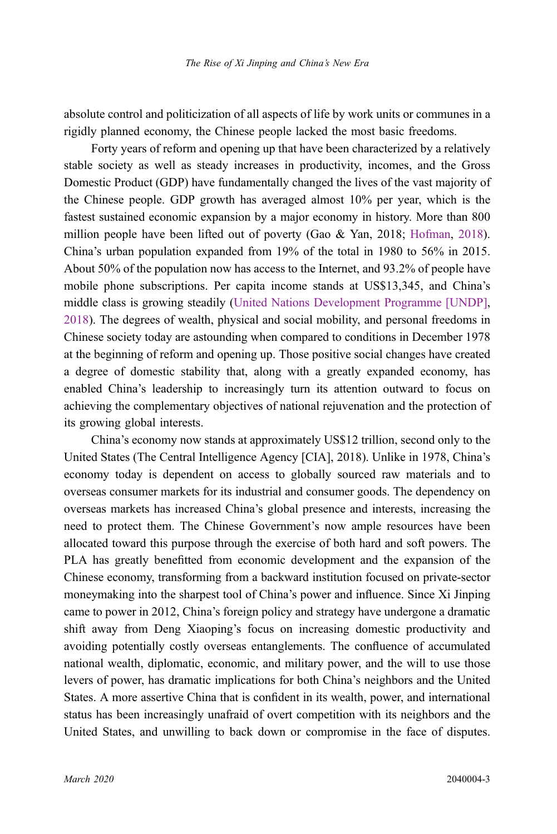absolute control and politicization of all aspects of life by work units or communes in a rigidly planned economy, the Chinese people lacked the most basic freedoms.

Forty years of reform and opening up that have been characterized by a relatively stable society as well as steady increases in productivity, incomes, and the Gross Domestic Product (GDP) have fundamentally changed the lives of the vast majority of the Chinese people. GDP growth has averaged almost 10% per year, which is the fastest sustained economic expansion by a major economy in history. More than 800 million people have been lifted out of poverty (Gao & Yan, 2018; [Hofman,](#page-22-0) [2018](#page-22-0)). China's urban population expanded from 19% of the total in 1980 to 56% in 2015. About 50% of the population now has access to the Internet, and 93.2% of people have mobile phone subscriptions. Per capita income stands at US\$13,345, and China's middle class is growing steadily ([United Nations Development Programme \[UNDP\],](#page-23-0) [2018\)](#page-23-0). The degrees of wealth, physical and social mobility, and personal freedoms in Chinese society today are astounding when compared to conditions in December 1978 at the beginning of reform and opening up. Those positive social changes have created a degree of domestic stability that, along with a greatly expanded economy, has enabled China's leadership to increasingly turn its attention outward to focus on achieving the complementary objectives of national rejuvenation and the protection of its growing global interests.

China's economy now stands at approximately US\$12 trillion, second only to the United States (The Central Intelligence Agency [CIA], 2018). Unlike in 1978, China's economy today is dependent on access to globally sourced raw materials and to overseas consumer markets for its industrial and consumer goods. The dependency on overseas markets has increased China's global presence and interests, increasing the need to protect them. The Chinese Government's now ample resources have been allocated toward this purpose through the exercise of both hard and soft powers. The PLA has greatly benefitted from economic development and the expansion of the Chinese economy, transforming from a backward institution focused on private-sector moneymaking into the sharpest tool of China's power and influence. Since Xi Jinping came to power in 2012, China's foreign policy and strategy have undergone a dramatic shift away from Deng Xiaoping's focus on increasing domestic productivity and avoiding potentially costly overseas entanglements. The confluence of accumulated national wealth, diplomatic, economic, and military power, and the will to use those levers of power, has dramatic implications for both China's neighbors and the United States. A more assertive China that is confident in its wealth, power, and international status has been increasingly unafraid of overt competition with its neighbors and the United States, and unwilling to back down or compromise in the face of disputes.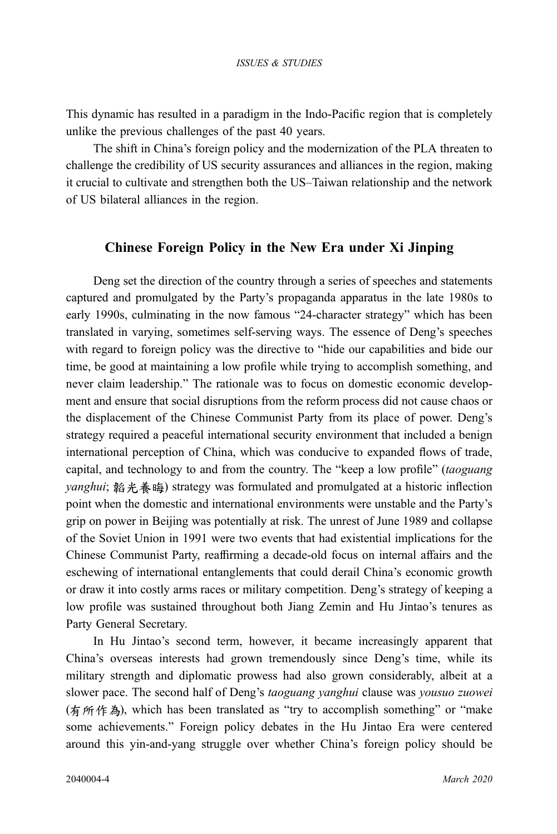This dynamic has resulted in a paradigm in the Indo-Pacific region that is completely unlike the previous challenges of the past 40 years.

The shift in China's foreign policy and the modernization of the PLA threaten to challenge the credibility of US security assurances and alliances in the region, making it crucial to cultivate and strengthen both the US–Taiwan relationship and the network of US bilateral alliances in the region.

#### Chinese Foreign Policy in the New Era under Xi Jinping

Deng set the direction of the country through a series of speeches and statements captured and promulgated by the Party's propaganda apparatus in the late 1980s to early 1990s, culminating in the now famous "24-character strategy" which has been translated in varying, sometimes self-serving ways. The essence of Deng's speeches with regard to foreign policy was the directive to "hide our capabilities and bide our time, be good at maintaining a low profile while trying to accomplish something, and never claim leadership." The rationale was to focus on domestic economic development and ensure that social disruptions from the reform process did not cause chaos or the displacement of the Chinese Communist Party from its place of power. Deng's strategy required a peaceful international security environment that included a benign international perception of China, which was conducive to expanded flows of trade, capital, and technology to and from the country. The "keep a low profile" *(taoguang*) yanghui; 韜光養晦) strategy was formulated and promulgated at a historic inflection point when the domestic and international environments were unstable and the Party's grip on power in Beijing was potentially at risk. The unrest of June 1989 and collapse of the Soviet Union in 1991 were two events that had existential implications for the Chinese Communist Party, reaffirming a decade-old focus on internal affairs and the eschewing of international entanglements that could derail China's economic growth or draw it into costly arms races or military competition. Deng's strategy of keeping a low profile was sustained throughout both Jiang Zemin and Hu Jintao's tenures as Party General Secretary.

In Hu Jintao's second term, however, it became increasingly apparent that China's overseas interests had grown tremendously since Deng's time, while its military strength and diplomatic prowess had also grown considerably, albeit at a slower pace. The second half of Deng's taoguang yanghui clause was yousuo zuowei ( $\pi$   $\hat{m}$   $\hat{m}$   $\hat{m}$ ), which has been translated as "try to accomplish something" or "make some achievements." Foreign policy debates in the Hu Jintao Era were centered around this yin-and-yang struggle over whether China's foreign policy should be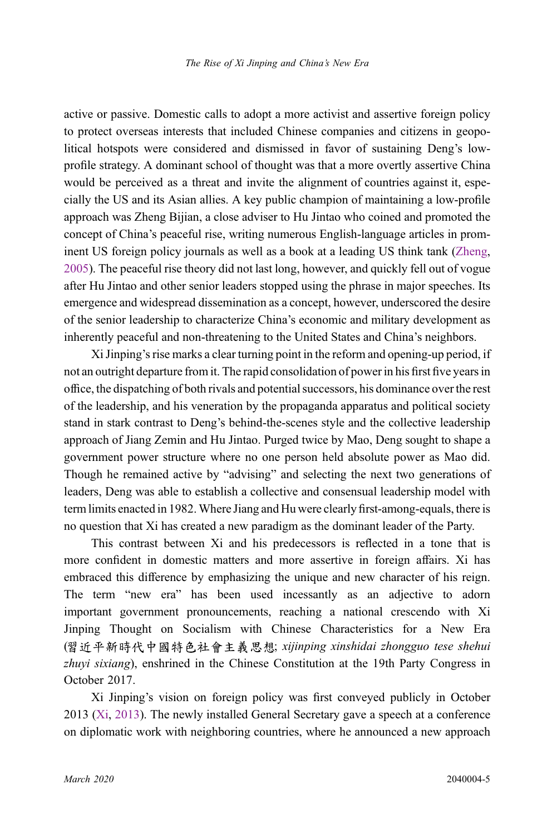active or passive. Domestic calls to adopt a more activist and assertive foreign policy to protect overseas interests that included Chinese companies and citizens in geopolitical hotspots were considered and dismissed in favor of sustaining Deng's lowprofile strategy. A dominant school of thought was that a more overtly assertive China would be perceived as a threat and invite the alignment of countries against it, especially the US and its Asian allies. A key public champion of maintaining a low-profile approach was Zheng Bijian, a close adviser to Hu Jintao who coined and promoted the concept of China's peaceful rise, writing numerous English-language articles in prominent US foreign policy journals as well as a book at a leading US think tank [\(Zheng,](#page-24-0) [2005\)](#page-24-0). The peaceful rise theory did not last long, however, and quickly fell out of vogue after Hu Jintao and other senior leaders stopped using the phrase in major speeches. Its emergence and widespread dissemination as a concept, however, underscored the desire of the senior leadership to characterize China's economic and military development as inherently peaceful and non-threatening to the United States and China's neighbors.

Xi Jinping's rise marks a clear turning point in the reform and opening-up period, if not an outright departure from it. The rapid consolidation of power in his first five years in office, the dispatching of both rivals and potential successors, his dominance over the rest of the leadership, and his veneration by the propaganda apparatus and political society stand in stark contrast to Deng's behind-the-scenes style and the collective leadership approach of Jiang Zemin and Hu Jintao. Purged twice by Mao, Deng sought to shape a government power structure where no one person held absolute power as Mao did. Though he remained active by "advising" and selecting the next two generations of leaders, Deng was able to establish a collective and consensual leadership model with term limits enacted in 1982.Where Jiang and Hu were clearly first-among-equals, there is no question that Xi has created a new paradigm as the dominant leader of the Party.

This contrast between Xi and his predecessors is reflected in a tone that is more confident in domestic matters and more assertive in foreign affairs. Xi has embraced this difference by emphasizing the unique and new character of his reign. The term "new era" has been used incessantly as an adjective to adorn important government pronouncements, reaching a national crescendo with Xi Jinping Thought on Socialism with Chinese Characteristics for a New Era (習近平新時代中國特色社會主義思想; xijinping xinshidai zhongguo tese shehui zhuyi sixiang), enshrined in the Chinese Constitution at the 19th Party Congress in October 2017.

Xi Jinping's vision on foreign policy was first conveyed publicly in October 2013 ([Xi](#page-23-0), [2013\)](#page-23-0). The newly installed General Secretary gave a speech at a conference on diplomatic work with neighboring countries, where he announced a new approach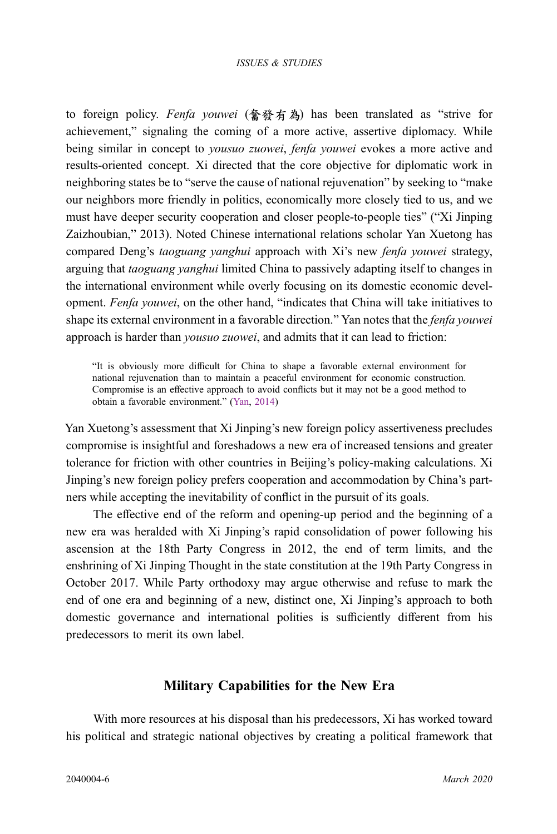to foreign policy. Fenfa youwei ( $\frac{1}{2}$ ) has been translated as "strive for achievement," signaling the coming of a more active, assertive diplomacy. While being similar in concept to *yousuo zuowei*, *fenfa youwei* evokes a more active and results-oriented concept. Xi directed that the core objective for diplomatic work in neighboring states be to "serve the cause of national rejuvenation" by seeking to "make our neighbors more friendly in politics, economically more closely tied to us, and we must have deeper security cooperation and closer people-to-people ties" ("Xi Jinping Zaizhoubian," 2013). Noted Chinese international relations scholar Yan Xuetong has compared Deng's taoguang yanghui approach with Xi's new fenfa youwei strategy, arguing that taoguang yanghui limited China to passively adapting itself to changes in the international environment while overly focusing on its domestic economic development. Fenfa youwei, on the other hand, "indicates that China will take initiatives to shape its external environment in a favorable direction." Yan notes that the fenfa youwei approach is harder than yousuo zuowei, and admits that it can lead to friction:

"It is obviously more difficult for China to shape a favorable external environment for national rejuvenation than to maintain a peaceful environment for economic construction. Compromise is an effective approach to avoid conflicts but it may not be a good method to obtain a favorable environment." ([Yan](#page-24-0), [2014\)](#page-24-0)

Yan Xuetong's assessment that Xi Jinping's new foreign policy assertiveness precludes compromise is insightful and foreshadows a new era of increased tensions and greater tolerance for friction with other countries in Beijing's policy-making calculations. Xi Jinping's new foreign policy prefers cooperation and accommodation by China's partners while accepting the inevitability of conflict in the pursuit of its goals.

The effective end of the reform and opening-up period and the beginning of a new era was heralded with Xi Jinping's rapid consolidation of power following his ascension at the 18th Party Congress in 2012, the end of term limits, and the enshrining of Xi Jinping Thought in the state constitution at the 19th Party Congress in October 2017. While Party orthodoxy may argue otherwise and refuse to mark the end of one era and beginning of a new, distinct one, Xi Jinping's approach to both domestic governance and international polities is sufficiently different from his predecessors to merit its own label.

# Military Capabilities for the New Era

With more resources at his disposal than his predecessors, Xi has worked toward his political and strategic national objectives by creating a political framework that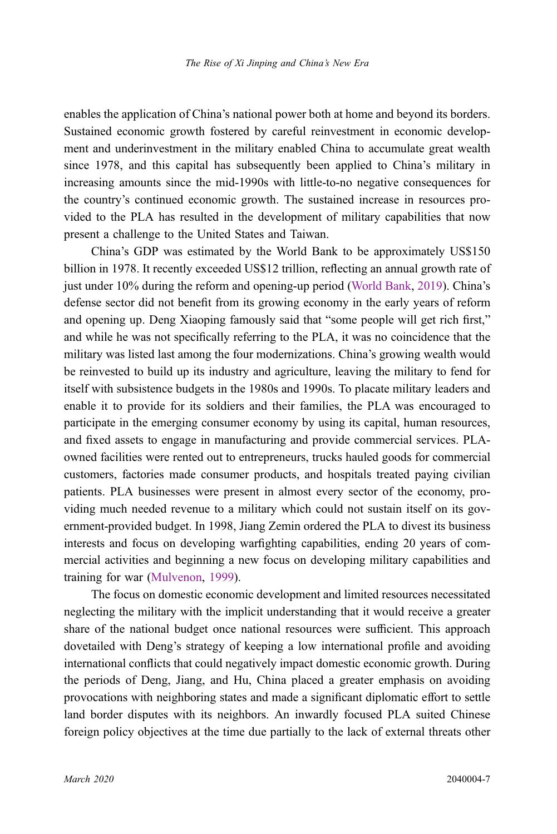enables the application of China's national power both at home and beyond its borders. Sustained economic growth fostered by careful reinvestment in economic development and underinvestment in the military enabled China to accumulate great wealth since 1978, and this capital has subsequently been applied to China's military in increasing amounts since the mid-1990s with little-to-no negative consequences for the country's continued economic growth. The sustained increase in resources provided to the PLA has resulted in the development of military capabilities that now present a challenge to the United States and Taiwan.

China's GDP was estimated by the World Bank to be approximately US\$150 billion in 1978. It recently exceeded US\$12 trillion, reflecting an annual growth rate of just under 10% during the reform and opening-up period [\(World Bank,](#page-23-0) [2019](#page-23-0)). China's defense sector did not benefit from its growing economy in the early years of reform and opening up. Deng Xiaoping famously said that "some people will get rich first," and while he was not specifically referring to the PLA, it was no coincidence that the military was listed last among the four modernizations. China's growing wealth would be reinvested to build up its industry and agriculture, leaving the military to fend for itself with subsistence budgets in the 1980s and 1990s. To placate military leaders and enable it to provide for its soldiers and their families, the PLA was encouraged to participate in the emerging consumer economy by using its capital, human resources, and fixed assets to engage in manufacturing and provide commercial services. PLAowned facilities were rented out to entrepreneurs, trucks hauled goods for commercial customers, factories made consumer products, and hospitals treated paying civilian patients. PLA businesses were present in almost every sector of the economy, providing much needed revenue to a military which could not sustain itself on its government-provided budget. In 1998, Jiang Zemin ordered the PLA to divest its business interests and focus on developing warfighting capabilities, ending 20 years of commercial activities and beginning a new focus on developing military capabilities and training for war [\(Mulvenon,](#page-22-0) [1999\)](#page-22-0).

The focus on domestic economic development and limited resources necessitated neglecting the military with the implicit understanding that it would receive a greater share of the national budget once national resources were sufficient. This approach dovetailed with Deng's strategy of keeping a low international profile and avoiding international conflicts that could negatively impact domestic economic growth. During the periods of Deng, Jiang, and Hu, China placed a greater emphasis on avoiding provocations with neighboring states and made a significant diplomatic effort to settle land border disputes with its neighbors. An inwardly focused PLA suited Chinese foreign policy objectives at the time due partially to the lack of external threats other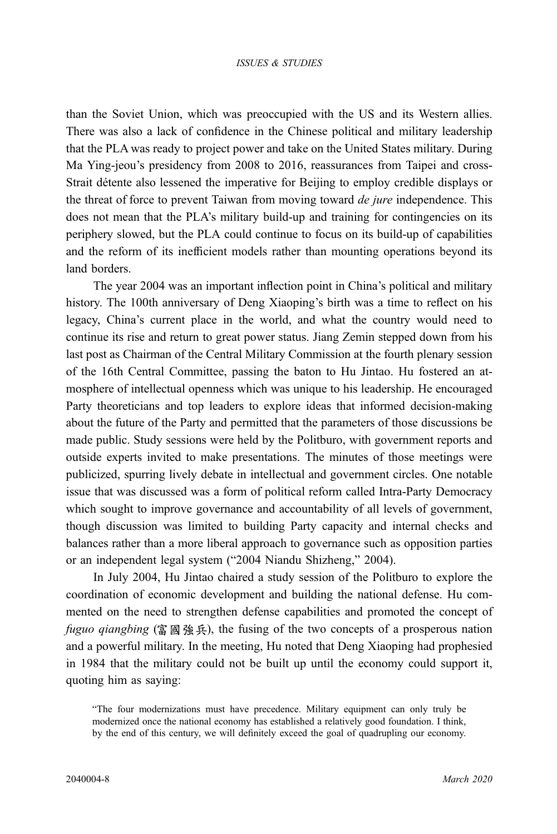than the Soviet Union, which was preoccupied with the US and its Western allies. There was also a lack of confidence in the Chinese political and military leadership that the PLA was ready to project power and take on the United States military. During Ma Ying-jeou's presidency from 2008 to 2016, reassurances from Taipei and cross-Strait détente also lessened the imperative for Beijing to employ credible displays or the threat of force to prevent Taiwan from moving toward *de jure* independence. This does not mean that the PLA's military build-up and training for contingencies on its periphery slowed, but the PLA could continue to focus on its build-up of capabilities and the reform of its inefficient models rather than mounting operations beyond its land borders.

The year 2004 was an important inflection point in China's political and military history. The 100th anniversary of Deng Xiaoping's birth was a time to reflect on his legacy, China's current place in the world, and what the country would need to continue its rise and return to great power status. Jiang Zemin stepped down from his last post as Chairman of the Central Military Commission at the fourth plenary session of the 16th Central Committee, passing the baton to Hu Jintao. Hu fostered an atmosphere of intellectual openness which was unique to his leadership. He encouraged Party theoreticians and top leaders to explore ideas that informed decision-making about the future of the Party and permitted that the parameters of those discussions be made public. Study sessions were held by the Politburo, with government reports and outside experts invited to make presentations. The minutes of those meetings were publicized, spurring lively debate in intellectual and government circles. One notable issue that was discussed was a form of political reform called Intra-Party Democracy which sought to improve governance and accountability of all levels of government, though discussion was limited to building Party capacity and internal checks and balances rather than a more liberal approach to governance such as opposition parties or an independent legal system ("2004 Niandu Shizheng," 2004).

In July 2004, Hu Jintao chaired a study session of the Politburo to explore the coordination of economic development and building the national defense. Hu commented on the need to strengthen defense capabilities and promoted the concept of fuguo qiangbing ( $\sin \frac{\pi x}{2}$ , the fusing of the two concepts of a prosperous nation and a powerful military. In the meeting, Hu noted that Deng Xiaoping had prophesied in 1984 that the military could not be built up until the economy could support it, quoting him as saying:

<sup>&</sup>quot;The four modernizations must have precedence. Military equipment can only truly be modernized once the national economy has established a relatively good foundation. I think, by the end of this century, we will definitely exceed the goal of quadrupling our economy.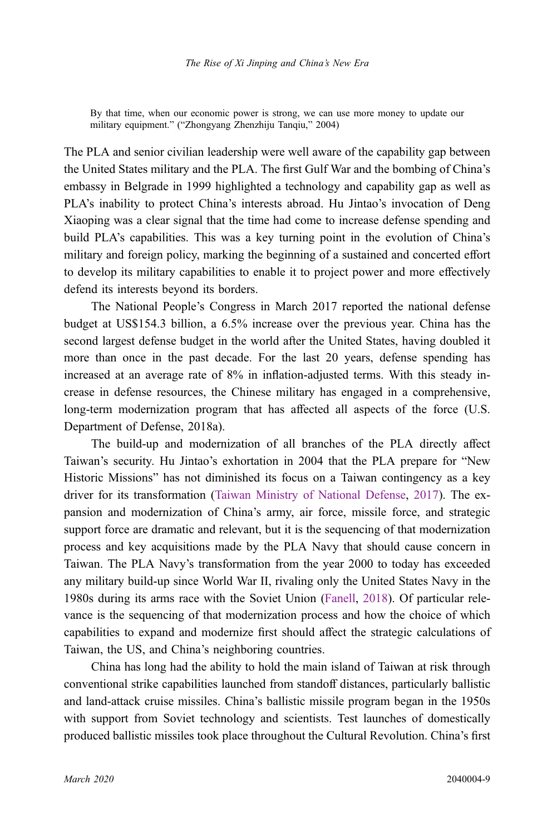By that time, when our economic power is strong, we can use more money to update our military equipment." ("Zhongyang Zhenzhiju Tanqiu," 2004)

The PLA and senior civilian leadership were well aware of the capability gap between the United States military and the PLA. The first Gulf War and the bombing of China's embassy in Belgrade in 1999 highlighted a technology and capability gap as well as PLA's inability to protect China's interests abroad. Hu Jintao's invocation of Deng Xiaoping was a clear signal that the time had come to increase defense spending and build PLA's capabilities. This was a key turning point in the evolution of China's military and foreign policy, marking the beginning of a sustained and concerted effort to develop its military capabilities to enable it to project power and more effectively defend its interests beyond its borders.

The National People's Congress in March 2017 reported the national defense budget at US\$154.3 billion, a 6.5% increase over the previous year. China has the second largest defense budget in the world after the United States, having doubled it more than once in the past decade. For the last 20 years, defense spending has increased at an average rate of 8% in inflation-adjusted terms. With this steady increase in defense resources, the Chinese military has engaged in a comprehensive, long-term modernization program that has affected all aspects of the force (U.S. Department of Defense, 2018a).

The build-up and modernization of all branches of the PLA directly affect Taiwan's security. Hu Jintao's exhortation in 2004 that the PLA prepare for "New Historic Missions" has not diminished its focus on a Taiwan contingency as a key driver for its transformation ([Taiwan Ministry of National Defense](#page-23-0), [2017\)](#page-23-0). The expansion and modernization of China's army, air force, missile force, and strategic support force are dramatic and relevant, but it is the sequencing of that modernization process and key acquisitions made by the PLA Navy that should cause concern in Taiwan. The PLA Navy's transformation from the year 2000 to today has exceeded any military build-up since World War II, rivaling only the United States Navy in the 1980s during its arms race with the Soviet Union [\(Fanell,](#page-22-0) [2018](#page-22-0)). Of particular relevance is the sequencing of that modernization process and how the choice of which capabilities to expand and modernize first should affect the strategic calculations of Taiwan, the US, and China's neighboring countries.

China has long had the ability to hold the main island of Taiwan at risk through conventional strike capabilities launched from standoff distances, particularly ballistic and land-attack cruise missiles. China's ballistic missile program began in the 1950s with support from Soviet technology and scientists. Test launches of domestically produced ballistic missiles took place throughout the Cultural Revolution. China's first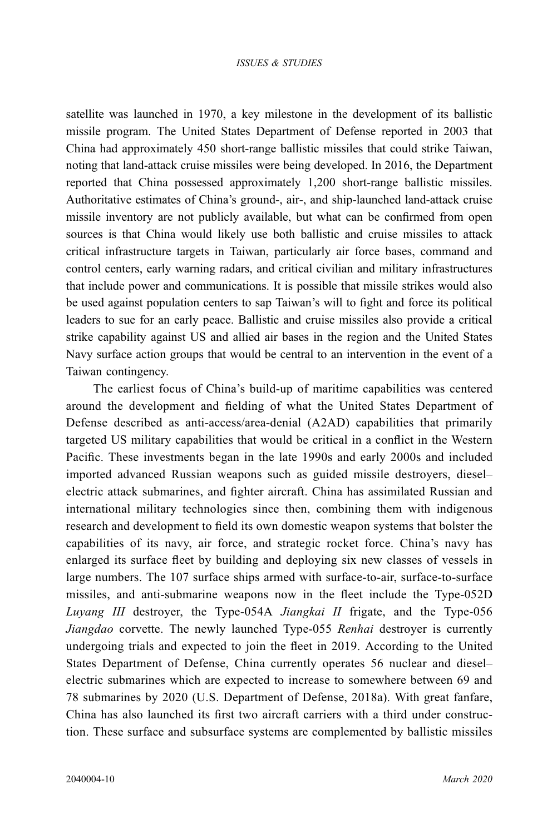satellite was launched in 1970, a key milestone in the development of its ballistic missile program. The United States Department of Defense reported in 2003 that China had approximately 450 short-range ballistic missiles that could strike Taiwan, noting that land-attack cruise missiles were being developed. In 2016, the Department reported that China possessed approximately 1,200 short-range ballistic missiles. Authoritative estimates of China's ground-, air-, and ship-launched land-attack cruise missile inventory are not publicly available, but what can be confirmed from open sources is that China would likely use both ballistic and cruise missiles to attack critical infrastructure targets in Taiwan, particularly air force bases, command and control centers, early warning radars, and critical civilian and military infrastructures that include power and communications. It is possible that missile strikes would also be used against population centers to sap Taiwan's will to fight and force its political leaders to sue for an early peace. Ballistic and cruise missiles also provide a critical strike capability against US and allied air bases in the region and the United States Navy surface action groups that would be central to an intervention in the event of a Taiwan contingency.

The earliest focus of China's build-up of maritime capabilities was centered around the development and fielding of what the United States Department of Defense described as anti-access/area-denial (A2AD) capabilities that primarily targeted US military capabilities that would be critical in a conflict in the Western Pacific. These investments began in the late 1990s and early 2000s and included imported advanced Russian weapons such as guided missile destroyers, diesel– electric attack submarines, and fighter aircraft. China has assimilated Russian and international military technologies since then, combining them with indigenous research and development to field its own domestic weapon systems that bolster the capabilities of its navy, air force, and strategic rocket force. China's navy has enlarged its surface fleet by building and deploying six new classes of vessels in large numbers. The 107 surface ships armed with surface-to-air, surface-to-surface missiles, and anti-submarine weapons now in the fleet include the Type-052D Luyang III destroyer, the Type-054A Jiangkai II frigate, and the Type-056 Jiangdao corvette. The newly launched Type-055 Renhai destroyer is currently undergoing trials and expected to join the fleet in 2019. According to the United States Department of Defense, China currently operates 56 nuclear and diesel– electric submarines which are expected to increase to somewhere between 69 and 78 submarines by 2020 (U.S. Department of Defense, 2018a). With great fanfare, China has also launched its first two aircraft carriers with a third under construction. These surface and subsurface systems are complemented by ballistic missiles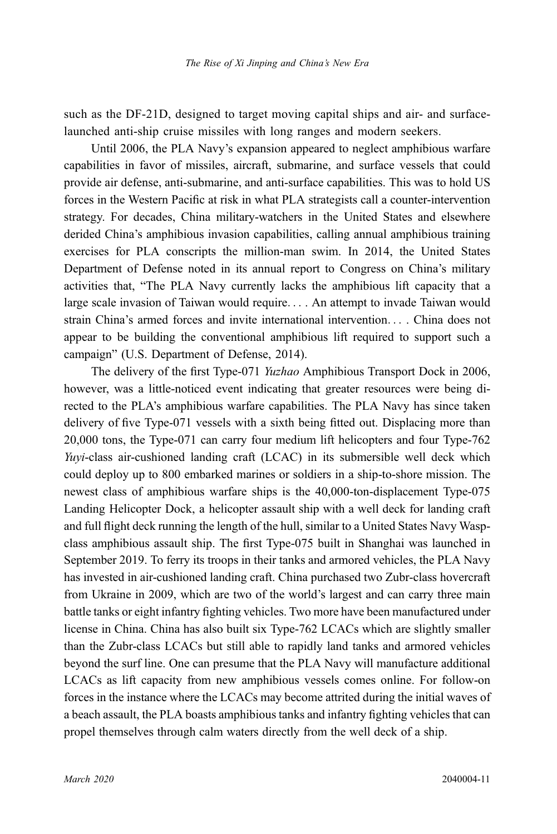such as the DF-21D, designed to target moving capital ships and air- and surfacelaunched anti-ship cruise missiles with long ranges and modern seekers.

Until 2006, the PLA Navy's expansion appeared to neglect amphibious warfare capabilities in favor of missiles, aircraft, submarine, and surface vessels that could provide air defense, anti-submarine, and anti-surface capabilities. This was to hold US forces in the Western Pacific at risk in what PLA strategists call a counter-intervention strategy. For decades, China military-watchers in the United States and elsewhere derided China's amphibious invasion capabilities, calling annual amphibious training exercises for PLA conscripts the million-man swim. In 2014, the United States Department of Defense noted in its annual report to Congress on China's military activities that, "The PLA Navy currently lacks the amphibious lift capacity that a large scale invasion of Taiwan would require... . An attempt to invade Taiwan would strain China's armed forces and invite international intervention... . China does not appear to be building the conventional amphibious lift required to support such a campaign" (U.S. Department of Defense, 2014).

The delivery of the first Type-071 Yuzhao Amphibious Transport Dock in 2006, however, was a little-noticed event indicating that greater resources were being directed to the PLA's amphibious warfare capabilities. The PLA Navy has since taken delivery of five Type-071 vessels with a sixth being fitted out. Displacing more than 20,000 tons, the Type-071 can carry four medium lift helicopters and four Type-762 Yuyi-class air-cushioned landing craft (LCAC) in its submersible well deck which could deploy up to 800 embarked marines or soldiers in a ship-to-shore mission. The newest class of amphibious warfare ships is the 40,000-ton-displacement Type-075 Landing Helicopter Dock, a helicopter assault ship with a well deck for landing craft and full flight deck running the length of the hull, similar to a United States Navy Waspclass amphibious assault ship. The first Type-075 built in Shanghai was launched in September 2019. To ferry its troops in their tanks and armored vehicles, the PLA Navy has invested in air-cushioned landing craft. China purchased two Zubr-class hovercraft from Ukraine in 2009, which are two of the world's largest and can carry three main battle tanks or eight infantry fighting vehicles. Two more have been manufactured under license in China. China has also built six Type-762 LCACs which are slightly smaller than the Zubr-class LCACs but still able to rapidly land tanks and armored vehicles beyond the surf line. One can presume that the PLA Navy will manufacture additional LCACs as lift capacity from new amphibious vessels comes online. For follow-on forces in the instance where the LCACs may become attrited during the initial waves of a beach assault, the PLA boasts amphibious tanks and infantry fighting vehicles that can propel themselves through calm waters directly from the well deck of a ship.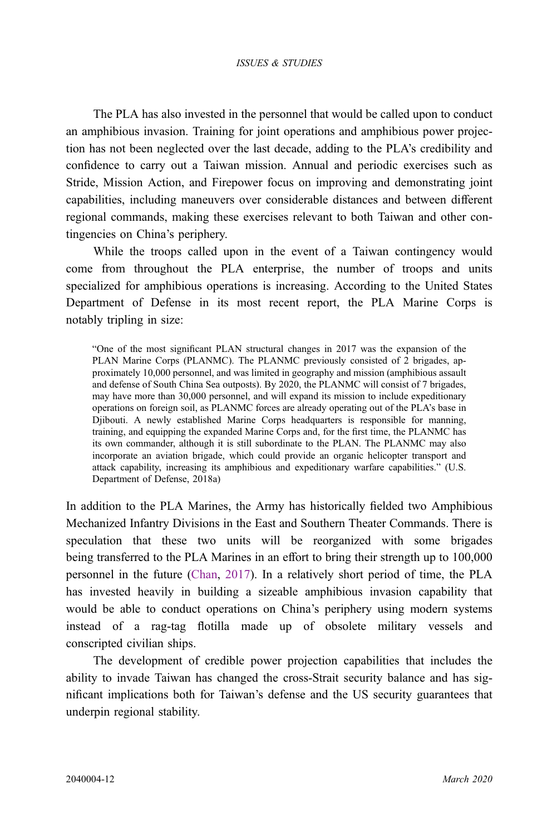The PLA has also invested in the personnel that would be called upon to conduct an amphibious invasion. Training for joint operations and amphibious power projection has not been neglected over the last decade, adding to the PLA's credibility and confidence to carry out a Taiwan mission. Annual and periodic exercises such as Stride, Mission Action, and Firepower focus on improving and demonstrating joint capabilities, including maneuvers over considerable distances and between different regional commands, making these exercises relevant to both Taiwan and other contingencies on China's periphery.

While the troops called upon in the event of a Taiwan contingency would come from throughout the PLA enterprise, the number of troops and units specialized for amphibious operations is increasing. According to the United States Department of Defense in its most recent report, the PLA Marine Corps is notably tripling in size:

"One of the most significant PLAN structural changes in 2017 was the expansion of the PLAN Marine Corps (PLANMC). The PLANMC previously consisted of 2 brigades, approximately 10,000 personnel, and was limited in geography and mission (amphibious assault and defense of South China Sea outposts). By 2020, the PLANMC will consist of 7 brigades, may have more than 30,000 personnel, and will expand its mission to include expeditionary operations on foreign soil, as PLANMC forces are already operating out of the PLA's base in Diibouti. A newly established Marine Corps headquarters is responsible for manning, training, and equipping the expanded Marine Corps and, for the first time, the PLANMC has its own commander, although it is still subordinate to the PLAN. The PLANMC may also incorporate an aviation brigade, which could provide an organic helicopter transport and attack capability, increasing its amphibious and expeditionary warfare capabilities." (U.S. Department of Defense, 2018a)

In addition to the PLA Marines, the Army has historically fielded two Amphibious Mechanized Infantry Divisions in the East and Southern Theater Commands. There is speculation that these two units will be reorganized with some brigades being transferred to the PLA Marines in an effort to bring their strength up to 100,000 personnel in the future ([Chan,](#page-22-0) [2017](#page-22-0)). In a relatively short period of time, the PLA has invested heavily in building a sizeable amphibious invasion capability that would be able to conduct operations on China's periphery using modern systems instead of a rag-tag flotilla made up of obsolete military vessels and conscripted civilian ships.

The development of credible power projection capabilities that includes the ability to invade Taiwan has changed the cross-Strait security balance and has significant implications both for Taiwan's defense and the US security guarantees that underpin regional stability.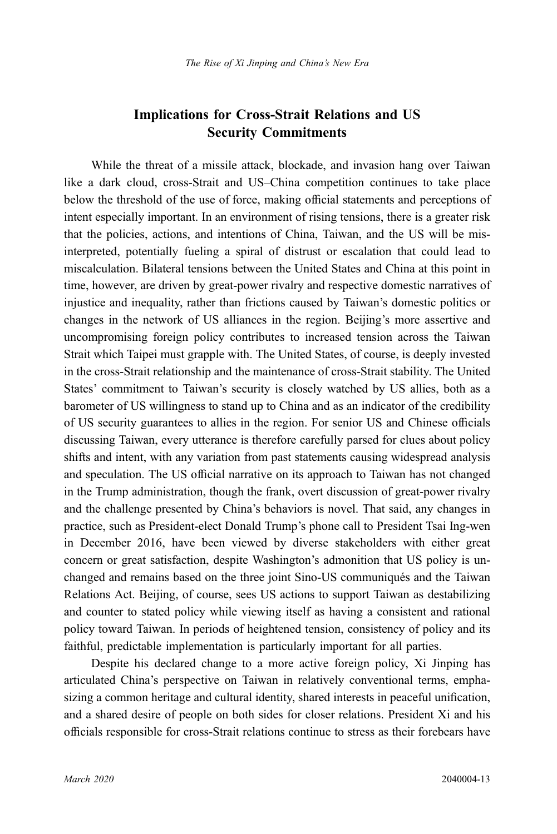# Implications for Cross-Strait Relations and US Security Commitments

While the threat of a missile attack, blockade, and invasion hang over Taiwan like a dark cloud, cross-Strait and US–China competition continues to take place below the threshold of the use of force, making official statements and perceptions of intent especially important. In an environment of rising tensions, there is a greater risk that the policies, actions, and intentions of China, Taiwan, and the US will be misinterpreted, potentially fueling a spiral of distrust or escalation that could lead to miscalculation. Bilateral tensions between the United States and China at this point in time, however, are driven by great-power rivalry and respective domestic narratives of injustice and inequality, rather than frictions caused by Taiwan's domestic politics or changes in the network of US alliances in the region. Beijing's more assertive and uncompromising foreign policy contributes to increased tension across the Taiwan Strait which Taipei must grapple with. The United States, of course, is deeply invested in the cross-Strait relationship and the maintenance of cross-Strait stability. The United States' commitment to Taiwan's security is closely watched by US allies, both as a barometer of US willingness to stand up to China and as an indicator of the credibility of US security guarantees to allies in the region. For senior US and Chinese officials discussing Taiwan, every utterance is therefore carefully parsed for clues about policy shifts and intent, with any variation from past statements causing widespread analysis and speculation. The US official narrative on its approach to Taiwan has not changed in the Trump administration, though the frank, overt discussion of great-power rivalry and the challenge presented by China's behaviors is novel. That said, any changes in practice, such as President-elect Donald Trump's phone call to President Tsai Ing-wen in December 2016, have been viewed by diverse stakeholders with either great concern or great satisfaction, despite Washington's admonition that US policy is unchanged and remains based on the three joint Sino-US communiqués and the Taiwan Relations Act. Beijing, of course, sees US actions to support Taiwan as destabilizing and counter to stated policy while viewing itself as having a consistent and rational policy toward Taiwan. In periods of heightened tension, consistency of policy and its faithful, predictable implementation is particularly important for all parties.

Despite his declared change to a more active foreign policy, Xi Jinping has articulated China's perspective on Taiwan in relatively conventional terms, emphasizing a common heritage and cultural identity, shared interests in peaceful unification, and a shared desire of people on both sides for closer relations. President Xi and his officials responsible for cross-Strait relations continue to stress as their forebears have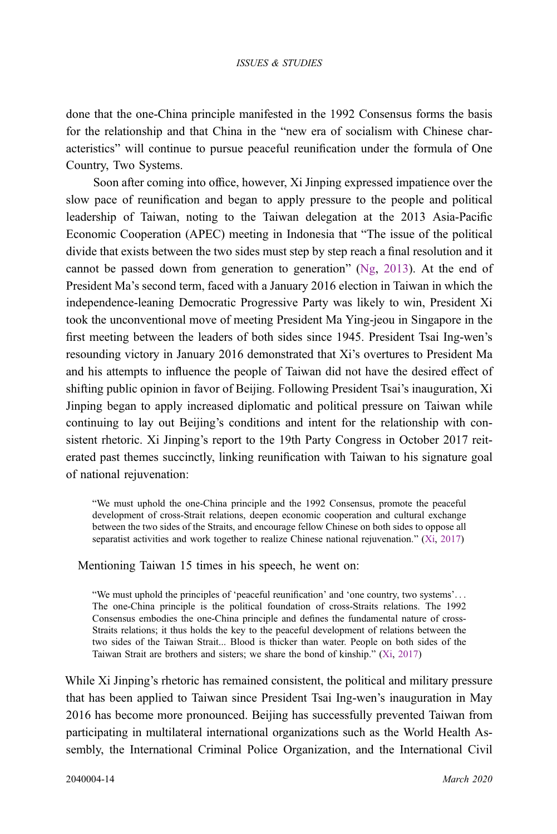done that the one-China principle manifested in the 1992 Consensus forms the basis for the relationship and that China in the "new era of socialism with Chinese characteristics" will continue to pursue peaceful reunification under the formula of One Country, Two Systems.

Soon after coming into office, however, Xi Jinping expressed impatience over the slow pace of reunification and began to apply pressure to the people and political leadership of Taiwan, noting to the Taiwan delegation at the 2013 Asia-Pacific Economic Cooperation (APEC) meeting in Indonesia that "The issue of the political divide that exists between the two sides must step by step reach a final resolution and it cannot be passed down from generation to generation" ( $Ng$ , [2013](#page-23-0)). At the end of President Ma's second term, faced with a January 2016 election in Taiwan in which the independence-leaning Democratic Progressive Party was likely to win, President Xi took the unconventional move of meeting President Ma Ying-jeou in Singapore in the first meeting between the leaders of both sides since 1945. President Tsai Ing-wen's resounding victory in January 2016 demonstrated that Xi's overtures to President Ma and his attempts to influence the people of Taiwan did not have the desired effect of shifting public opinion in favor of Beijing. Following President Tsai's inauguration, Xi Jinping began to apply increased diplomatic and political pressure on Taiwan while continuing to lay out Beijing's conditions and intent for the relationship with consistent rhetoric. Xi Jinping's report to the 19th Party Congress in October 2017 reiterated past themes succinctly, linking reunification with Taiwan to his signature goal of national rejuvenation:

"We must uphold the one-China principle and the 1992 Consensus, promote the peaceful development of cross-Strait relations, deepen economic cooperation and cultural exchange between the two sides of the Straits, and encourage fellow Chinese on both sides to oppose all separatist activities and work together to realize Chinese national rejuvenation." [\(Xi](#page-23-0), [2017](#page-23-0))

Mentioning Taiwan 15 times in his speech, he went on:

"We must uphold the principles of 'peaceful reunification' and 'one country, two systems'... The one-China principle is the political foundation of cross-Straits relations. The 1992 Consensus embodies the one-China principle and defines the fundamental nature of cross-Straits relations; it thus holds the key to the peaceful development of relations between the two sides of the Taiwan Strait... Blood is thicker than water. People on both sides of the Taiwan Strait are brothers and sisters; we share the bond of kinship." [\(Xi,](#page-23-0) [2017\)](#page-23-0)

While Xi Jinping's rhetoric has remained consistent, the political and military pressure that has been applied to Taiwan since President Tsai Ing-wen's inauguration in May 2016 has become more pronounced. Beijing has successfully prevented Taiwan from participating in multilateral international organizations such as the World Health Assembly, the International Criminal Police Organization, and the International Civil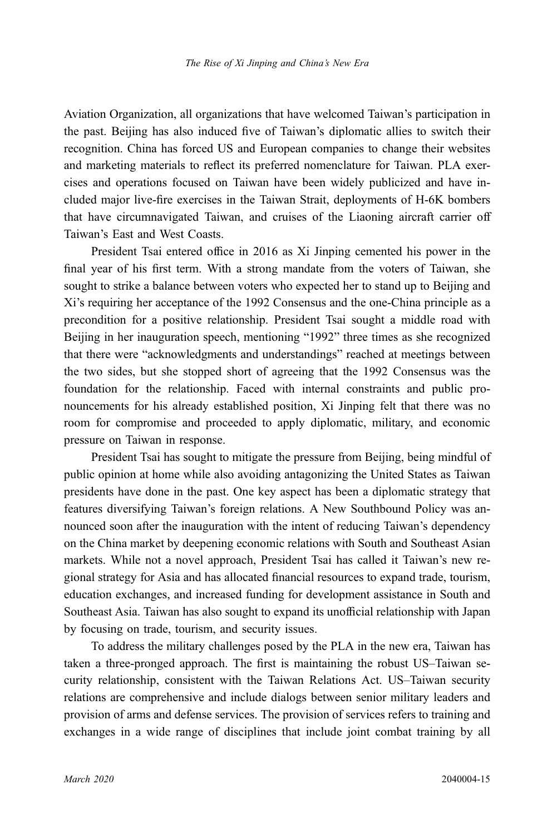Aviation Organization, all organizations that have welcomed Taiwan's participation in the past. Beijing has also induced five of Taiwan's diplomatic allies to switch their recognition. China has forced US and European companies to change their websites and marketing materials to reflect its preferred nomenclature for Taiwan. PLA exercises and operations focused on Taiwan have been widely publicized and have included major live-fire exercises in the Taiwan Strait, deployments of H-6K bombers that have circumnavigated Taiwan, and cruises of the Liaoning aircraft carrier off Taiwan's East and West Coasts.

President Tsai entered office in 2016 as Xi Jinping cemented his power in the final year of his first term. With a strong mandate from the voters of Taiwan, she sought to strike a balance between voters who expected her to stand up to Beijing and Xi's requiring her acceptance of the 1992 Consensus and the one-China principle as a precondition for a positive relationship. President Tsai sought a middle road with Beijing in her inauguration speech, mentioning "1992" three times as she recognized that there were "acknowledgments and understandings" reached at meetings between the two sides, but she stopped short of agreeing that the 1992 Consensus was the foundation for the relationship. Faced with internal constraints and public pronouncements for his already established position, Xi Jinping felt that there was no room for compromise and proceeded to apply diplomatic, military, and economic pressure on Taiwan in response.

President Tsai has sought to mitigate the pressure from Beijing, being mindful of public opinion at home while also avoiding antagonizing the United States as Taiwan presidents have done in the past. One key aspect has been a diplomatic strategy that features diversifying Taiwan's foreign relations. A New Southbound Policy was announced soon after the inauguration with the intent of reducing Taiwan's dependency on the China market by deepening economic relations with South and Southeast Asian markets. While not a novel approach, President Tsai has called it Taiwan's new regional strategy for Asia and has allocated financial resources to expand trade, tourism, education exchanges, and increased funding for development assistance in South and Southeast Asia. Taiwan has also sought to expand its unofficial relationship with Japan by focusing on trade, tourism, and security issues.

To address the military challenges posed by the PLA in the new era, Taiwan has taken a three-pronged approach. The first is maintaining the robust US–Taiwan security relationship, consistent with the Taiwan Relations Act. US–Taiwan security relations are comprehensive and include dialogs between senior military leaders and provision of arms and defense services. The provision of services refers to training and exchanges in a wide range of disciplines that include joint combat training by all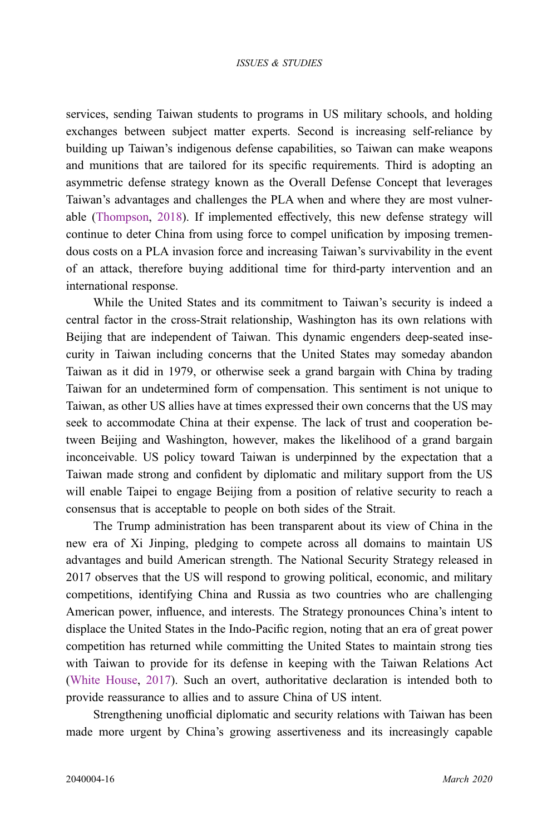services, sending Taiwan students to programs in US military schools, and holding exchanges between subject matter experts. Second is increasing self-reliance by building up Taiwan's indigenous defense capabilities, so Taiwan can make weapons and munitions that are tailored for its specific requirements. Third is adopting an asymmetric defense strategy known as the Overall Defense Concept that leverages Taiwan's advantages and challenges the PLA when and where they are most vulnerable [\(Thompson,](#page-23-0) [2018](#page-23-0)). If implemented effectively, this new defense strategy will continue to deter China from using force to compel unification by imposing tremendous costs on a PLA invasion force and increasing Taiwan's survivability in the event of an attack, therefore buying additional time for third-party intervention and an international response.

While the United States and its commitment to Taiwan's security is indeed a central factor in the cross-Strait relationship, Washington has its own relations with Beijing that are independent of Taiwan. This dynamic engenders deep-seated insecurity in Taiwan including concerns that the United States may someday abandon Taiwan as it did in 1979, or otherwise seek a grand bargain with China by trading Taiwan for an undetermined form of compensation. This sentiment is not unique to Taiwan, as other US allies have at times expressed their own concerns that the US may seek to accommodate China at their expense. The lack of trust and cooperation between Beijing and Washington, however, makes the likelihood of a grand bargain inconceivable. US policy toward Taiwan is underpinned by the expectation that a Taiwan made strong and confident by diplomatic and military support from the US will enable Taipei to engage Beijing from a position of relative security to reach a consensus that is acceptable to people on both sides of the Strait.

The Trump administration has been transparent about its view of China in the new era of Xi Jinping, pledging to compete across all domains to maintain US advantages and build American strength. The National Security Strategy released in 2017 observes that the US will respond to growing political, economic, and military competitions, identifying China and Russia as two countries who are challenging American power, influence, and interests. The Strategy pronounces China's intent to displace the United States in the Indo-Pacific region, noting that an era of great power competition has returned while committing the United States to maintain strong ties with Taiwan to provide for its defense in keeping with the Taiwan Relations Act ([White House](#page-23-0), [2017\)](#page-23-0). Such an overt, authoritative declaration is intended both to provide reassurance to allies and to assure China of US intent.

Strengthening unofficial diplomatic and security relations with Taiwan has been made more urgent by China's growing assertiveness and its increasingly capable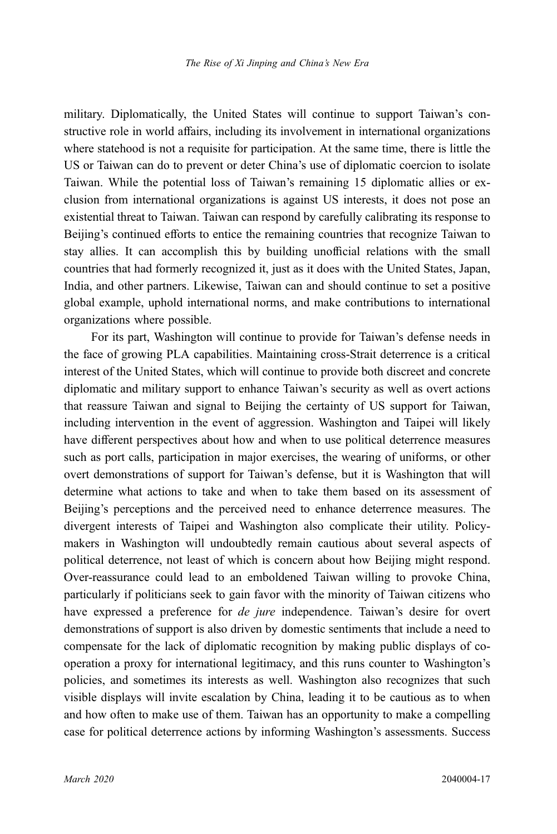military. Diplomatically, the United States will continue to support Taiwan's constructive role in world affairs, including its involvement in international organizations where statehood is not a requisite for participation. At the same time, there is little the US or Taiwan can do to prevent or deter China's use of diplomatic coercion to isolate Taiwan. While the potential loss of Taiwan's remaining 15 diplomatic allies or exclusion from international organizations is against US interests, it does not pose an existential threat to Taiwan. Taiwan can respond by carefully calibrating its response to Beijing's continued efforts to entice the remaining countries that recognize Taiwan to stay allies. It can accomplish this by building unofficial relations with the small countries that had formerly recognized it, just as it does with the United States, Japan, India, and other partners. Likewise, Taiwan can and should continue to set a positive global example, uphold international norms, and make contributions to international organizations where possible.

For its part, Washington will continue to provide for Taiwan's defense needs in the face of growing PLA capabilities. Maintaining cross-Strait deterrence is a critical interest of the United States, which will continue to provide both discreet and concrete diplomatic and military support to enhance Taiwan's security as well as overt actions that reassure Taiwan and signal to Beijing the certainty of US support for Taiwan, including intervention in the event of aggression. Washington and Taipei will likely have different perspectives about how and when to use political deterrence measures such as port calls, participation in major exercises, the wearing of uniforms, or other overt demonstrations of support for Taiwan's defense, but it is Washington that will determine what actions to take and when to take them based on its assessment of Beijing's perceptions and the perceived need to enhance deterrence measures. The divergent interests of Taipei and Washington also complicate their utility. Policymakers in Washington will undoubtedly remain cautious about several aspects of political deterrence, not least of which is concern about how Beijing might respond. Over-reassurance could lead to an emboldened Taiwan willing to provoke China, particularly if politicians seek to gain favor with the minority of Taiwan citizens who have expressed a preference for *de jure* independence. Taiwan's desire for overt demonstrations of support is also driven by domestic sentiments that include a need to compensate for the lack of diplomatic recognition by making public displays of cooperation a proxy for international legitimacy, and this runs counter to Washington's policies, and sometimes its interests as well. Washington also recognizes that such visible displays will invite escalation by China, leading it to be cautious as to when and how often to make use of them. Taiwan has an opportunity to make a compelling case for political deterrence actions by informing Washington's assessments. Success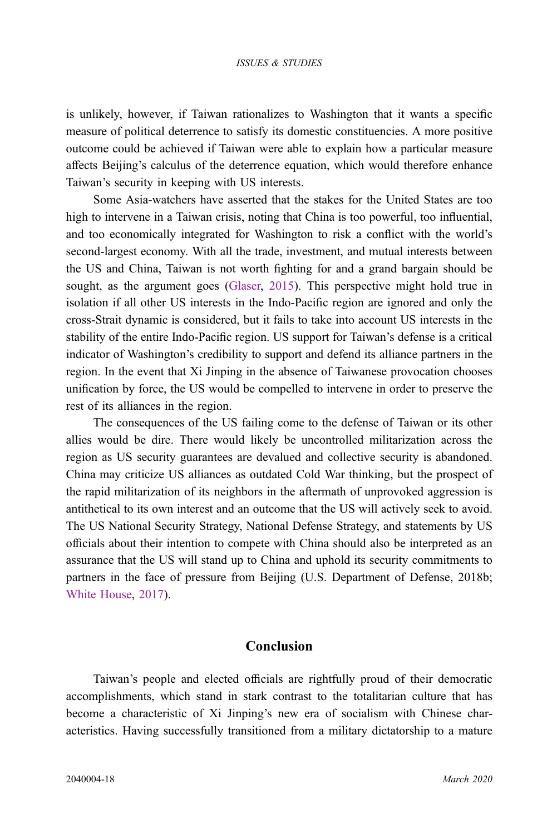is unlikely, however, if Taiwan rationalizes to Washington that it wants a specific measure of political deterrence to satisfy its domestic constituencies. A more positive outcome could be achieved if Taiwan were able to explain how a particular measure affects Beijing's calculus of the deterrence equation, which would therefore enhance Taiwan's security in keeping with US interests.

Some Asia-watchers have asserted that the stakes for the United States are too high to intervene in a Taiwan crisis, noting that China is too powerful, too influential, and too economically integrated for Washington to risk a conflict with the world's second-largest economy. With all the trade, investment, and mutual interests between the US and China, Taiwan is not worth fighting for and a grand bargain should be sought, as the argument goes [\(Glaser,](#page-22-0) [2015](#page-22-0)). This perspective might hold true in isolation if all other US interests in the Indo-Pacific region are ignored and only the cross-Strait dynamic is considered, but it fails to take into account US interests in the stability of the entire Indo-Pacific region. US support for Taiwan's defense is a critical indicator of Washington's credibility to support and defend its alliance partners in the region. In the event that Xi Jinping in the absence of Taiwanese provocation chooses unification by force, the US would be compelled to intervene in order to preserve the rest of its alliances in the region.

The consequences of the US failing come to the defense of Taiwan or its other allies would be dire. There would likely be uncontrolled militarization across the region as US security guarantees are devalued and collective security is abandoned. China may criticize US alliances as outdated Cold War thinking, but the prospect of the rapid militarization of its neighbors in the aftermath of unprovoked aggression is antithetical to its own interest and an outcome that the US will actively seek to avoid. The US National Security Strategy, National Defense Strategy, and statements by US officials about their intention to compete with China should also be interpreted as an assurance that the US will stand up to China and uphold its security commitments to partners in the face of pressure from Beijing (U.S. Department of Defense, 2018b; [White House,](#page-23-0) [2017\)](#page-23-0).

### Conclusion

Taiwan's people and elected officials are rightfully proud of their democratic accomplishments, which stand in stark contrast to the totalitarian culture that has become a characteristic of Xi Jinping's new era of socialism with Chinese characteristics. Having successfully transitioned from a military dictatorship to a mature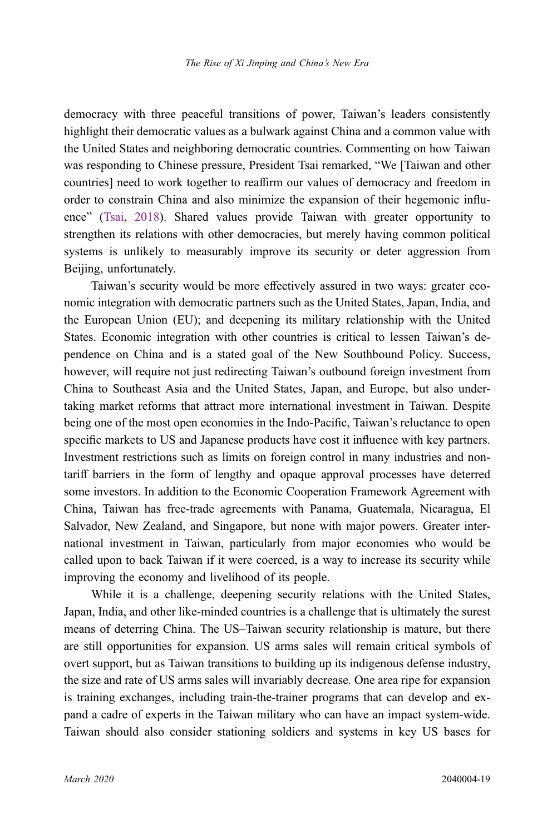democracy with three peaceful transitions of power, Taiwan's leaders consistently highlight their democratic values as a bulwark against China and a common value with the United States and neighboring democratic countries. Commenting on how Taiwan was responding to Chinese pressure, President Tsai remarked, "We [Taiwan and other countries] need to work together to reaffirm our values of democracy and freedom in order to constrain China and also minimize the expansion of their hegemonic influence" [\(Tsai](#page-23-0), [2018](#page-23-0)). Shared values provide Taiwan with greater opportunity to strengthen its relations with other democracies, but merely having common political systems is unlikely to measurably improve its security or deter aggression from Beijing, unfortunately.

Taiwan's security would be more effectively assured in two ways: greater economic integration with democratic partners such as the United States, Japan, India, and the European Union (EU); and deepening its military relationship with the United States. Economic integration with other countries is critical to lessen Taiwan's dependence on China and is a stated goal of the New Southbound Policy. Success, however, will require not just redirecting Taiwan's outbound foreign investment from China to Southeast Asia and the United States, Japan, and Europe, but also undertaking market reforms that attract more international investment in Taiwan. Despite being one of the most open economies in the Indo-Pacific, Taiwan's reluctance to open specific markets to US and Japanese products have cost it influence with key partners. Investment restrictions such as limits on foreign control in many industries and nontariff barriers in the form of lengthy and opaque approval processes have deterred some investors. In addition to the Economic Cooperation Framework Agreement with China, Taiwan has free-trade agreements with Panama, Guatemala, Nicaragua, El Salvador, New Zealand, and Singapore, but none with major powers. Greater international investment in Taiwan, particularly from major economies who would be called upon to back Taiwan if it were coerced, is a way to increase its security while improving the economy and livelihood of its people.

While it is a challenge, deepening security relations with the United States, Japan, India, and other like-minded countries is a challenge that is ultimately the surest means of deterring China. The US–Taiwan security relationship is mature, but there are still opportunities for expansion. US arms sales will remain critical symbols of overt support, but as Taiwan transitions to building up its indigenous defense industry, the size and rate of US arms sales will invariably decrease. One area ripe for expansion is training exchanges, including train-the-trainer programs that can develop and expand a cadre of experts in the Taiwan military who can have an impact system-wide. Taiwan should also consider stationing soldiers and systems in key US bases for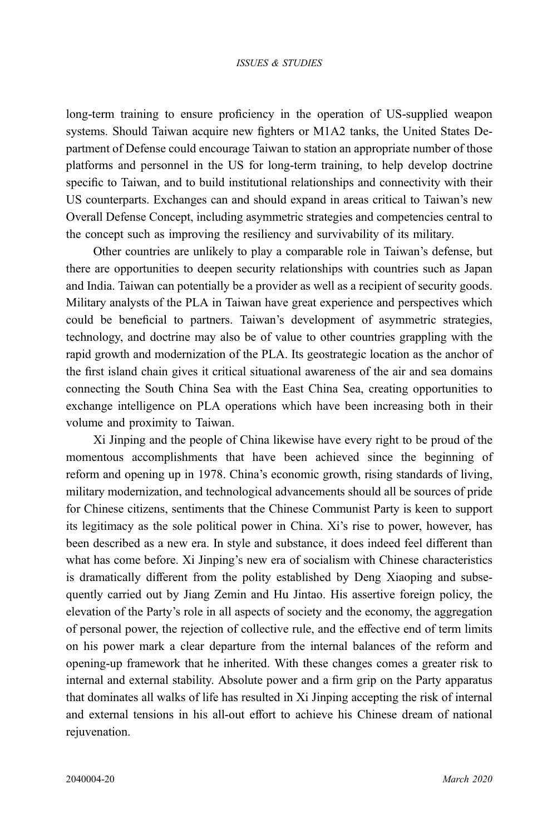long-term training to ensure proficiency in the operation of US-supplied weapon systems. Should Taiwan acquire new fighters or M1A2 tanks, the United States Department of Defense could encourage Taiwan to station an appropriate number of those platforms and personnel in the US for long-term training, to help develop doctrine specific to Taiwan, and to build institutional relationships and connectivity with their US counterparts. Exchanges can and should expand in areas critical to Taiwan's new Overall Defense Concept, including asymmetric strategies and competencies central to the concept such as improving the resiliency and survivability of its military.

Other countries are unlikely to play a comparable role in Taiwan's defense, but there are opportunities to deepen security relationships with countries such as Japan and India. Taiwan can potentially be a provider as well as a recipient of security goods. Military analysts of the PLA in Taiwan have great experience and perspectives which could be beneficial to partners. Taiwan's development of asymmetric strategies, technology, and doctrine may also be of value to other countries grappling with the rapid growth and modernization of the PLA. Its geostrategic location as the anchor of the first island chain gives it critical situational awareness of the air and sea domains connecting the South China Sea with the East China Sea, creating opportunities to exchange intelligence on PLA operations which have been increasing both in their volume and proximity to Taiwan.

Xi Jinping and the people of China likewise have every right to be proud of the momentous accomplishments that have been achieved since the beginning of reform and opening up in 1978. China's economic growth, rising standards of living, military modernization, and technological advancements should all be sources of pride for Chinese citizens, sentiments that the Chinese Communist Party is keen to support its legitimacy as the sole political power in China. Xi's rise to power, however, has been described as a new era. In style and substance, it does indeed feel different than what has come before. Xi Jinping's new era of socialism with Chinese characteristics is dramatically different from the polity established by Deng Xiaoping and subsequently carried out by Jiang Zemin and Hu Jintao. His assertive foreign policy, the elevation of the Party's role in all aspects of society and the economy, the aggregation of personal power, the rejection of collective rule, and the effective end of term limits on his power mark a clear departure from the internal balances of the reform and opening-up framework that he inherited. With these changes comes a greater risk to internal and external stability. Absolute power and a firm grip on the Party apparatus that dominates all walks of life has resulted in Xi Jinping accepting the risk of internal and external tensions in his all-out effort to achieve his Chinese dream of national rejuvenation.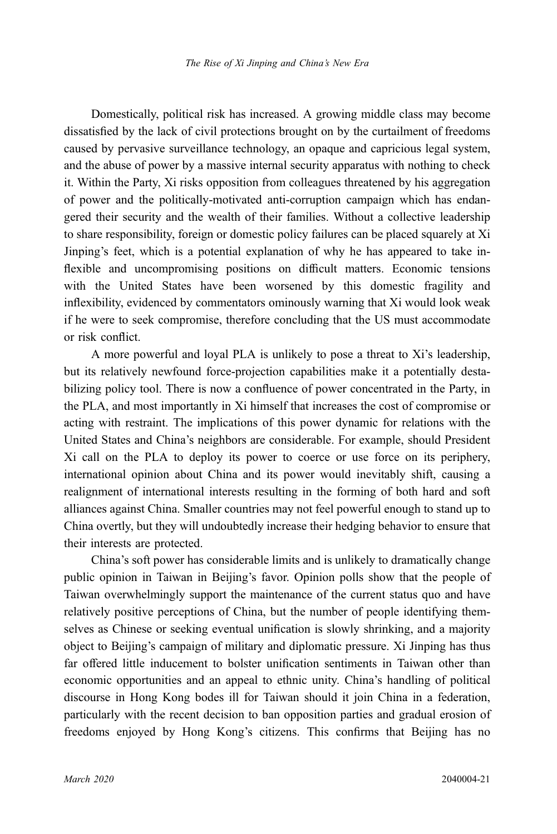Domestically, political risk has increased. A growing middle class may become dissatisfied by the lack of civil protections brought on by the curtailment of freedoms caused by pervasive surveillance technology, an opaque and capricious legal system, and the abuse of power by a massive internal security apparatus with nothing to check it. Within the Party, Xi risks opposition from colleagues threatened by his aggregation of power and the politically-motivated anti-corruption campaign which has endangered their security and the wealth of their families. Without a collective leadership to share responsibility, foreign or domestic policy failures can be placed squarely at Xi Jinping's feet, which is a potential explanation of why he has appeared to take inflexible and uncompromising positions on difficult matters. Economic tensions with the United States have been worsened by this domestic fragility and inflexibility, evidenced by commentators ominously warning that Xi would look weak if he were to seek compromise, therefore concluding that the US must accommodate or risk conflict.

A more powerful and loyal PLA is unlikely to pose a threat to Xi's leadership, but its relatively newfound force-projection capabilities make it a potentially destabilizing policy tool. There is now a confluence of power concentrated in the Party, in the PLA, and most importantly in Xi himself that increases the cost of compromise or acting with restraint. The implications of this power dynamic for relations with the United States and China's neighbors are considerable. For example, should President Xi call on the PLA to deploy its power to coerce or use force on its periphery, international opinion about China and its power would inevitably shift, causing a realignment of international interests resulting in the forming of both hard and soft alliances against China. Smaller countries may not feel powerful enough to stand up to China overtly, but they will undoubtedly increase their hedging behavior to ensure that their interests are protected.

China's soft power has considerable limits and is unlikely to dramatically change public opinion in Taiwan in Beijing's favor. Opinion polls show that the people of Taiwan overwhelmingly support the maintenance of the current status quo and have relatively positive perceptions of China, but the number of people identifying themselves as Chinese or seeking eventual unification is slowly shrinking, and a majority object to Beijing's campaign of military and diplomatic pressure. Xi Jinping has thus far offered little inducement to bolster unification sentiments in Taiwan other than economic opportunities and an appeal to ethnic unity. China's handling of political discourse in Hong Kong bodes ill for Taiwan should it join China in a federation, particularly with the recent decision to ban opposition parties and gradual erosion of freedoms enjoyed by Hong Kong's citizens. This confirms that Beijing has no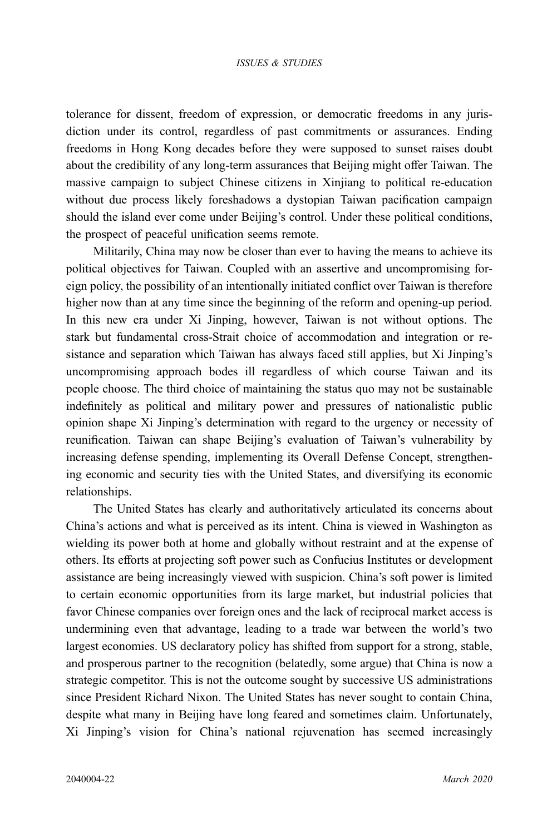tolerance for dissent, freedom of expression, or democratic freedoms in any jurisdiction under its control, regardless of past commitments or assurances. Ending freedoms in Hong Kong decades before they were supposed to sunset raises doubt about the credibility of any long-term assurances that Beijing might offer Taiwan. The massive campaign to subject Chinese citizens in Xinjiang to political re-education without due process likely foreshadows a dystopian Taiwan pacification campaign should the island ever come under Beijing's control. Under these political conditions, the prospect of peaceful unification seems remote.

Militarily, China may now be closer than ever to having the means to achieve its political objectives for Taiwan. Coupled with an assertive and uncompromising foreign policy, the possibility of an intentionally initiated conflict over Taiwan is therefore higher now than at any time since the beginning of the reform and opening-up period. In this new era under Xi Jinping, however, Taiwan is not without options. The stark but fundamental cross-Strait choice of accommodation and integration or resistance and separation which Taiwan has always faced still applies, but Xi Jinping's uncompromising approach bodes ill regardless of which course Taiwan and its people choose. The third choice of maintaining the status quo may not be sustainable indefinitely as political and military power and pressures of nationalistic public opinion shape Xi Jinping's determination with regard to the urgency or necessity of reunification. Taiwan can shape Beijing's evaluation of Taiwan's vulnerability by increasing defense spending, implementing its Overall Defense Concept, strengthening economic and security ties with the United States, and diversifying its economic relationships.

The United States has clearly and authoritatively articulated its concerns about China's actions and what is perceived as its intent. China is viewed in Washington as wielding its power both at home and globally without restraint and at the expense of others. Its efforts at projecting soft power such as Confucius Institutes or development assistance are being increasingly viewed with suspicion. China's soft power is limited to certain economic opportunities from its large market, but industrial policies that favor Chinese companies over foreign ones and the lack of reciprocal market access is undermining even that advantage, leading to a trade war between the world's two largest economies. US declaratory policy has shifted from support for a strong, stable, and prosperous partner to the recognition (belatedly, some argue) that China is now a strategic competitor. This is not the outcome sought by successive US administrations since President Richard Nixon. The United States has never sought to contain China, despite what many in Beijing have long feared and sometimes claim. Unfortunately, Xi Jinping's vision for China's national rejuvenation has seemed increasingly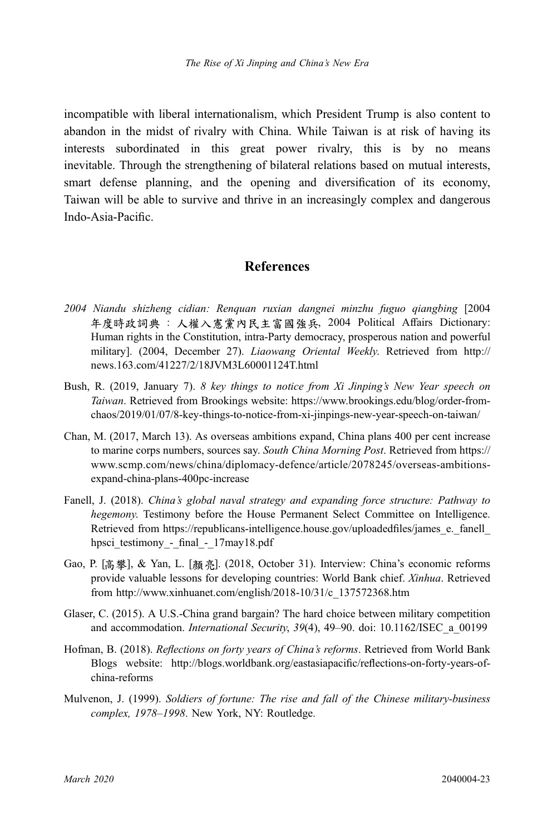<span id="page-22-0"></span>incompatible with liberal internationalism, which President Trump is also content to abandon in the midst of rivalry with China. While Taiwan is at risk of having its interests subordinated in this great power rivalry, this is by no means inevitable. Through the strengthening of bilateral relations based on mutual interests, smart defense planning, and the opening and diversification of its economy, Taiwan will be able to survive and thrive in an increasingly complex and dangerous Indo-Asia-Pacific.

# **References**

- 2004 Niandu shizheng cidian: Renquan ruxian dangnei minzhu fuguo qiangbing [2004 年度時政詞典: 人權入憲黨內民主富國強兵, 2004 Political Affairs Dictionary: Human rights in the Constitution, intra-Party democracy, prosperous nation and powerful military]. (2004, December 27). Liaowang Oriental Weekly. Retrieved from http:// news.163.com/41227/2/18JVM3L60001124T.html
- Bush, R. (2019, January 7). 8 key things to notice from Xi Jinping's New Year speech on Taiwan. Retrieved from Brookings website: https://www.brookings.edu/blog/order-fromchaos/2019/01/07/8-key-things-to-notice-from-xi-jinpings-new-year-speech-on-taiwan/
- Chan, M. (2017, March 13). As overseas ambitions expand, China plans 400 per cent increase to marine corps numbers, sources say. South China Morning Post. Retrieved from https:// www.scmp.com/news/china/diplomacy-defence/article/2078245/overseas-ambitionsexpand-china-plans-400pc-increase
- Fanell, J. (2018). China's global naval strategy and expanding force structure: Pathway to hegemony. Testimony before the House Permanent Select Committee on Intelligence. Retrieved from https://republicans-intelligence.house.gov/uploadedfiles/james\_e.\_fanell hpsci testimony - final - 17may18.pdf
- Gao, P. [高攀], & Yan, L. [顏亮]. (2018, October 31). Interview: China's economic reforms provide valuable lessons for developing countries: World Bank chief. Xinhua. Retrieved from http://www.xinhuanet.com/english/2018-10/31/c\_137572368.htm
- Glaser, C. (2015). A U.S.-China grand bargain? The hard choice between military competition and accommodation. *International Security*, 39(4), 49-90. doi: 10.1162/ISEC a 00199
- Hofman, B. (2018). Reflections on forty years of China's reforms. Retrieved from World Bank Blogs website: http://blogs.worldbank.org/eastasiapacific/reflections-on-forty-years-ofchina-reforms
- Mulvenon, J. (1999). Soldiers of fortune: The rise and fall of the Chinese military-business complex, 1978–1998. New York, NY: Routledge.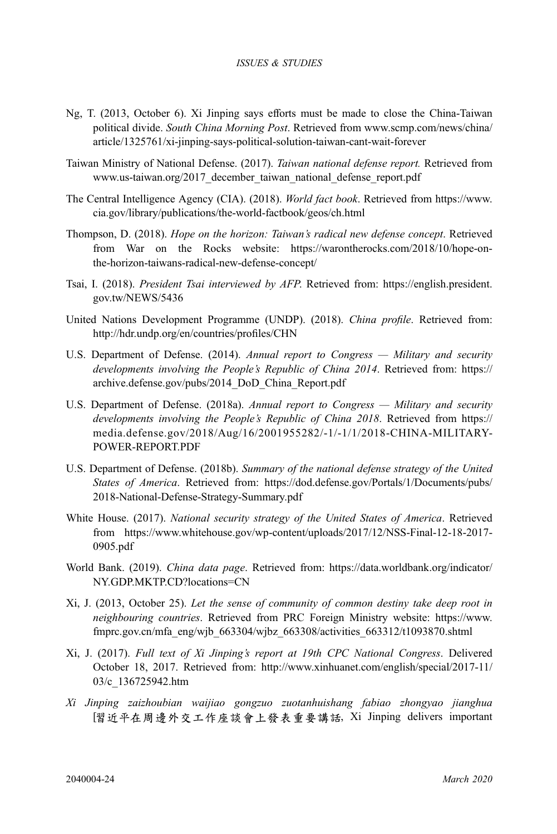- <span id="page-23-0"></span>Ng, T. (2013, October 6). Xi Jinping says efforts must be made to close the China-Taiwan political divide. South China Morning Post. Retrieved from www.scmp.com/news/china/ article/1325761/xi-jinping-says-political-solution-taiwan-cant-wait-forever
- Taiwan Ministry of National Defense. (2017). Taiwan national defense report. Retrieved from www.us-taiwan.org/2017\_december\_taiwan\_national\_defense\_report.pdf
- The Central Intelligence Agency (CIA). (2018). World fact book. Retrieved from https://www. cia.gov/library/publications/the-world-factbook/geos/ch.html
- Thompson, D. (2018). Hope on the horizon: Taiwan's radical new defense concept. Retrieved from War on the Rocks website: https://warontherocks.com/2018/10/hope-onthe-horizon-taiwans-radical-new-defense-concept/
- Tsai, I. (2018). President Tsai interviewed by AFP. Retrieved from: https://english.president. gov.tw/NEWS/5436
- United Nations Development Programme (UNDP). (2018). China profile. Retrieved from: http://hdr.undp.org/en/countries/profiles/CHN
- U.S. Department of Defense. (2014). Annual report to Congress Military and security developments involving the People's Republic of China 2014. Retrieved from: https:// archive.defense.gov/pubs/2014\_DoD\_China\_Report.pdf
- U.S. Department of Defense. (2018a). Annual report to Congress Military and security developments involving the People's Republic of China 2018. Retrieved from https:// media.defense.gov/2018/Aug/16/2001955282/-1/-1/1/2018-CHINA-MILITARY-POWER-REPORT.PDF
- U.S. Department of Defense. (2018b). Summary of the national defense strategy of the United States of America. Retrieved from: https://dod.defense.gov/Portals/1/Documents/pubs/ 2018-National-Defense-Strategy-Summary.pdf
- White House. (2017). National security strategy of the United States of America. Retrieved from https://www.whitehouse.gov/wp-content/uploads/2017/12/NSS-Final-12-18-2017- 0905.pdf
- World Bank. (2019). China data page. Retrieved from: https://data.worldbank.org/indicator/ NY.GDP.MKTP.CD?locations=CN
- Xi, J. (2013, October 25). Let the sense of community of common destiny take deep root in neighbouring countries. Retrieved from PRC Foreign Ministry website: https://www. fmprc.gov.cn/mfa\_eng/wjb\_663304/wjbz\_663308/activities\_663312/t1093870.shtml
- Xi, J. (2017). Full text of Xi Jinping's report at 19th CPC National Congress. Delivered October 18, 2017. Retrieved from: http://www.xinhuanet.com/english/special/2017-11/ 03/c\_136725942.htm
- Xi Jinping zaizhoubian waijiao gongzuo zuotanhuishang fabiao zhongyao jianghua [習近平在周邊外交工作座談會上發表重要講話, Xi Jinping delivers important